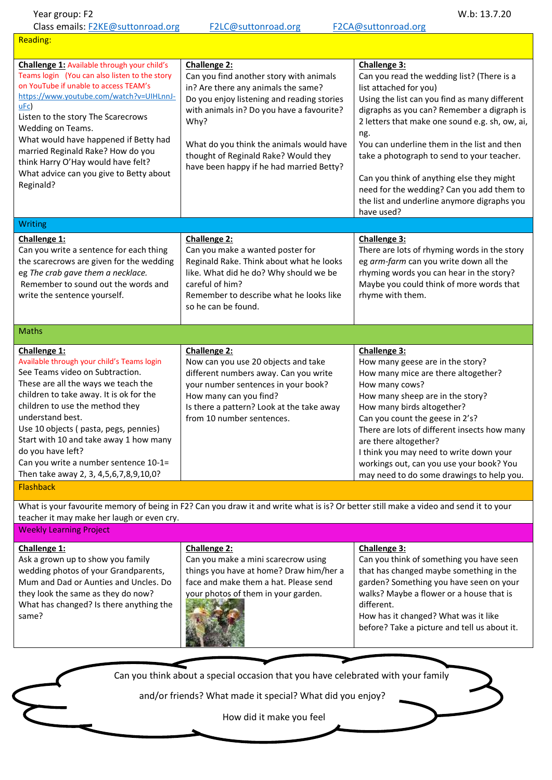| Year group: F2<br>Class emails: F2KE@suttonroad.org                                                                                                                                                                                                                                                                                                                                                                                                    | F2LC@suttonroad.org                                                                                                                                                                                                                                                                                                               | W.b: 13.7.20<br>F2CA@suttonroad.org                                                                                                                                                                                                                                                                                                                                                                                                                                                              |  |
|--------------------------------------------------------------------------------------------------------------------------------------------------------------------------------------------------------------------------------------------------------------------------------------------------------------------------------------------------------------------------------------------------------------------------------------------------------|-----------------------------------------------------------------------------------------------------------------------------------------------------------------------------------------------------------------------------------------------------------------------------------------------------------------------------------|--------------------------------------------------------------------------------------------------------------------------------------------------------------------------------------------------------------------------------------------------------------------------------------------------------------------------------------------------------------------------------------------------------------------------------------------------------------------------------------------------|--|
| <b>Reading:</b>                                                                                                                                                                                                                                                                                                                                                                                                                                        |                                                                                                                                                                                                                                                                                                                                   |                                                                                                                                                                                                                                                                                                                                                                                                                                                                                                  |  |
| Challenge 1: Available through your child's<br>Teams login (You can also listen to the story<br>on YouTube if unable to access TEAM's<br>https://www.youtube.com/watch?v=UIHLnnJ-<br>$\underline{\mathsf{uEc}}$<br>Listen to the story The Scarecrows<br>Wedding on Teams.<br>What would have happened if Betty had<br>married Reginald Rake? How do you<br>think Harry O'Hay would have felt?<br>What advice can you give to Betty about<br>Reginald? | Challenge 2:<br>Can you find another story with animals<br>in? Are there any animals the same?<br>Do you enjoy listening and reading stories<br>with animals in? Do you have a favourite?<br>Why?<br>What do you think the animals would have<br>thought of Reginald Rake? Would they<br>have been happy if he had married Betty? | Challenge 3:<br>Can you read the wedding list? (There is a<br>list attached for you)<br>Using the list can you find as many different<br>digraphs as you can? Remember a digraph is<br>2 letters that make one sound e.g. sh, ow, ai,<br>ng.<br>You can underline them in the list and then<br>take a photograph to send to your teacher.<br>Can you think of anything else they might<br>need for the wedding? Can you add them to<br>the list and underline anymore digraphs you<br>have used? |  |
| Writing                                                                                                                                                                                                                                                                                                                                                                                                                                                |                                                                                                                                                                                                                                                                                                                                   |                                                                                                                                                                                                                                                                                                                                                                                                                                                                                                  |  |
| Challenge 1:<br>Can you write a sentence for each thing<br>the scarecrows are given for the wedding<br>eg The crab gave them a necklace.<br>Remember to sound out the words and<br>write the sentence yourself.                                                                                                                                                                                                                                        | Challenge 2:<br>Can you make a wanted poster for<br>Reginald Rake. Think about what he looks<br>like. What did he do? Why should we be<br>careful of him?<br>Remember to describe what he looks like<br>so he can be found.                                                                                                       | Challenge 3:<br>There are lots of rhyming words in the story<br>eg arm-farm can you write down all the<br>rhyming words you can hear in the story?<br>Maybe you could think of more words that<br>rhyme with them.                                                                                                                                                                                                                                                                               |  |
| <b>Maths</b>                                                                                                                                                                                                                                                                                                                                                                                                                                           |                                                                                                                                                                                                                                                                                                                                   |                                                                                                                                                                                                                                                                                                                                                                                                                                                                                                  |  |
| Challenge 1:<br>Available through your child's Teams login<br>See Teams video on Subtraction.<br>These are all the ways we teach the<br>children to take away. It is ok for the<br>children to use the method they<br>understand best.<br>Use 10 objects (pasta, pegs, pennies)<br>Start with 10 and take away 1 how many<br>do you have left?<br>Can you write a number sentence 10-1=<br>Then take away 2, 3, 4,5,6,7,8,9,10,0?                      | Challenge 2:<br>Now can you use 20 objects and take<br>different numbers away. Can you write<br>your number sentences in your book?<br>How many can you find?<br>Is there a pattern? Look at the take away<br>from 10 number sentences.                                                                                           | Challenge 3:<br>How many geese are in the story?<br>How many mice are there altogether?<br>How many cows?<br>How many sheep are in the story?<br>How many birds altogether?<br>Can you count the geese in 2's?<br>There are lots of different insects how many<br>are there altogether?<br>I think you may need to write down your<br>workings out, can you use your book? You<br>may need to do some drawings to help you.                                                                      |  |
| <b>Flashback</b>                                                                                                                                                                                                                                                                                                                                                                                                                                       |                                                                                                                                                                                                                                                                                                                                   |                                                                                                                                                                                                                                                                                                                                                                                                                                                                                                  |  |
| What is your favourite memory of being in F2? Can you draw it and write what is is? Or better still make a video and send it to your                                                                                                                                                                                                                                                                                                                   |                                                                                                                                                                                                                                                                                                                                   |                                                                                                                                                                                                                                                                                                                                                                                                                                                                                                  |  |

teacher it may make her laugh or even cry. Weekly Learning Project

| Challenge 1:                            | <b>Challenge 2:</b>                     | <b>Challenge 3:</b>                          |
|-----------------------------------------|-----------------------------------------|----------------------------------------------|
| Ask a grown up to show you family       | Can you make a mini scarecrow using     | Can you think of something you have seen     |
| wedding photos of your Grandparents,    | things you have at home? Draw him/her a | that has changed maybe something in the      |
| Mum and Dad or Aunties and Uncles. Do   | face and make them a hat. Please send   | garden? Something you have seen on your      |
| they look the same as they do now?      | your photos of them in your garden.     | walks? Maybe a flower or a house that is     |
| What has changed? Is there anything the |                                         | different.                                   |
| same?                                   |                                         | How has it changed? What was it like         |
|                                         |                                         | before? Take a picture and tell us about it. |
|                                         |                                         |                                              |
|                                         |                                         |                                              |

Can you think about a special occasion that you have celebrated with your family

and/or friends? What made it special? What did you enjoy?

How did it make you feel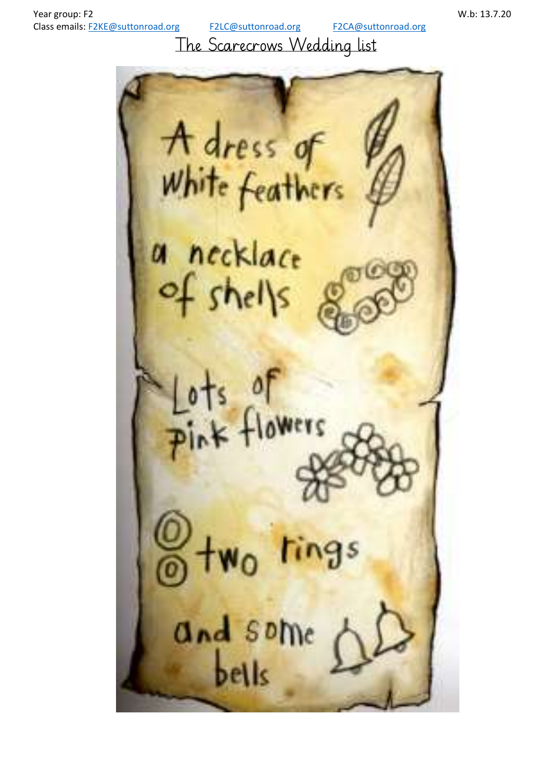The Scarecrows Wedding list

A dress of<br>White feathers a necklace of shells  $s \nolimits$ **E** Flowers ings and some